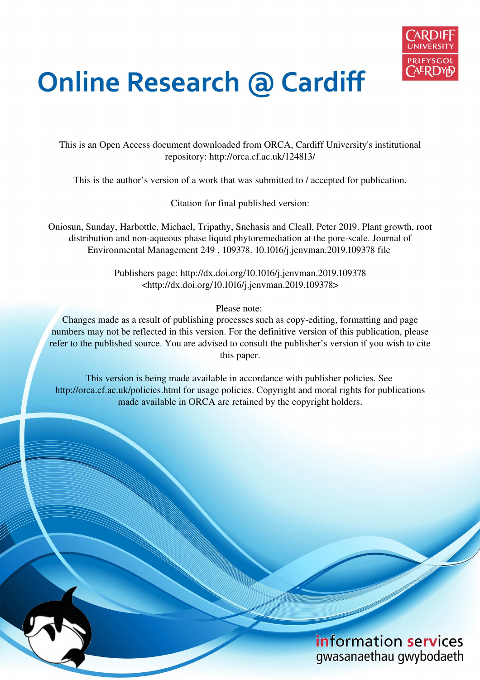

# **Online Research @ Cardiff**

This is an Open Access document downloaded from ORCA, Cardiff University's institutional repository: http://orca.cf.ac.uk/124813/

This is the author's version of a work that was submitted to / accepted for publication.

Citation for final published version:

Oniosun, Sunday, Harbottle, Michael, Tripathy, Snehasis and Cleall, Peter 2019. Plant growth, root distribution and non-aqueous phase liquid phytoremediation at the pore-scale. Journal of Environmental Management 249 , 109378. 10.1016/j.jenvman.2019.109378 file

> Publishers page: http://dx.doi.org/10.1016/j.jenvman.2019.109378 <http://dx.doi.org/10.1016/j.jenvman.2019.109378>

> > Please note:

Changes made as a result of publishing processes such as copy-editing, formatting and page numbers may not be reflected in this version. For the definitive version of this publication, please refer to the published source. You are advised to consult the publisher's version if you wish to cite this paper.

This version is being made available in accordance with publisher policies. See http://orca.cf.ac.uk/policies.html for usage policies. Copyright and moral rights for publications made available in ORCA are retained by the copyright holders.

### information services gwasanaethau gwybodaeth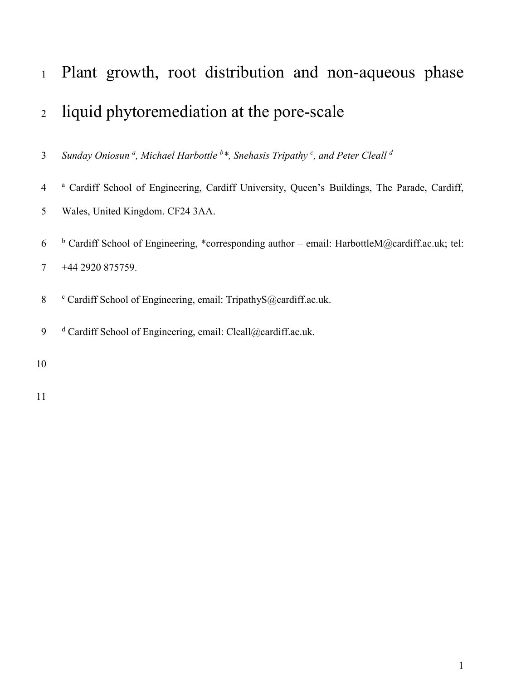## <sup>1</sup>Plant growth, root distribution and non-aqueous phase <sup>2</sup>liquid phytoremediation at the pore-scale

*Sunday Oniosun <sup>a</sup> , Michael Harbottle <sup>b</sup> \*, Snehasis Tripathy <sup>c</sup> , and Peter Cleall <sup>d</sup>* 3

<sup>a</sup> Cardiff School of Engineering, Cardiff University, Queen's Buildings, The Parade, Cardiff,

- 5 Wales, United Kingdom. CF24 3AA.
- <sup>6</sup> Cardiff School of Engineering, \*corresponding author email: HarbottleM@cardiff.ac.uk; tel: 7 +44 2920 875759.
- 8 Cardiff School of Engineering, email: TripathyS@cardiff.ac.uk.
- 9 d Cardiff School of Engineering, email: Cleall@cardiff.ac.uk.
- 10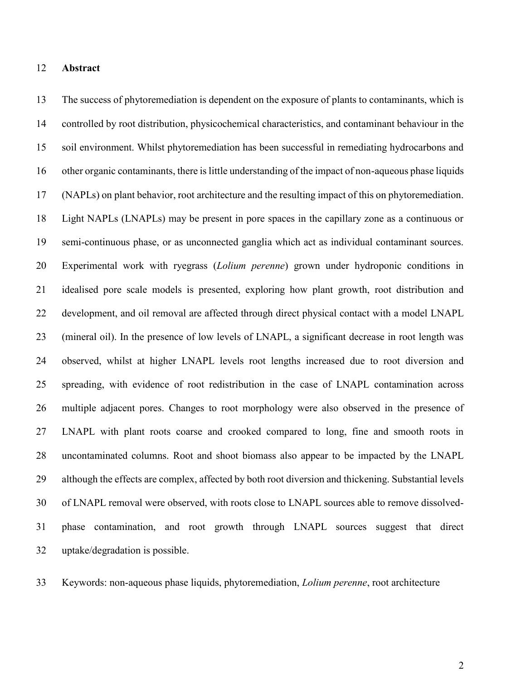#### 12 **Abstract**

13 The success of phytoremediation is dependent on the exposure of plants to contaminants, which is 14 controlled by root distribution, physicochemical characteristics, and contaminant behaviour in the 15 soil environment. Whilst phytoremediation has been successful in remediating hydrocarbons and 16 other organic contaminants, there is little understanding of the impact of non-aqueous phase liquids 17 (NAPLs) on plant behavior, root architecture and the resulting impact of this on phytoremediation. 18 Light NAPLs (LNAPLs) may be present in pore spaces in the capillary zone as a continuous or 19 semi-continuous phase, or as unconnected ganglia which act as individual contaminant sources. 20 Experimental work with ryegrass (*Lolium perenne*) grown under hydroponic conditions in 21 idealised pore scale models is presented, exploring how plant growth, root distribution and 22 development, and oil removal are affected through direct physical contact with a model LNAPL 23 (mineral oil). In the presence of low levels of LNAPL, a significant decrease in root length was 24 observed, whilst at higher LNAPL levels root lengths increased due to root diversion and 25 spreading, with evidence of root redistribution in the case of LNAPL contamination across 26 multiple adjacent pores. Changes to root morphology were also observed in the presence of 27 LNAPL with plant roots coarse and crooked compared to long, fine and smooth roots in 28 uncontaminated columns. Root and shoot biomass also appear to be impacted by the LNAPL 29 although the effects are complex, affected by both root diversion and thickening. Substantial levels 30 of LNAPL removal were observed, with roots close to LNAPL sources able to remove dissolved-31 phase contamination, and root growth through LNAPL sources suggest that direct 32 uptake/degradation is possible.

33 Keywords: non-aqueous phase liquids, phytoremediation, *Lolium perenne*, root architecture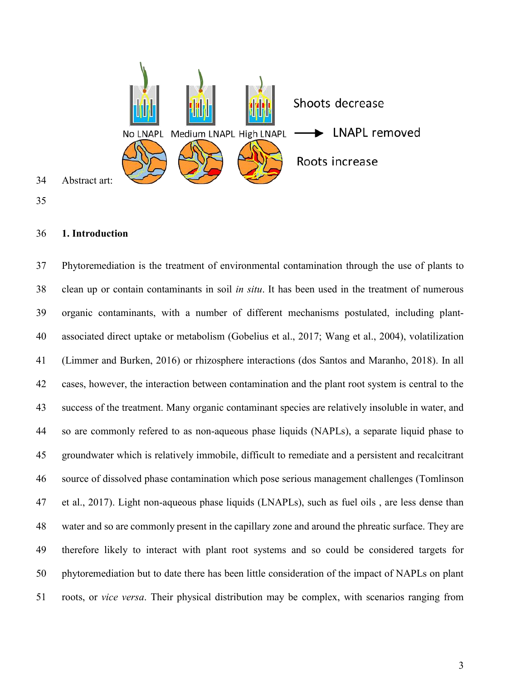

#### 36 **1. Introduction**

37 Phytoremediation is the treatment of environmental contamination through the use of plants to 38 clean up or contain contaminants in soil *in situ*. It has been used in the treatment of numerous 39 organic contaminants, with a number of different mechanisms postulated, including plant-40 associated direct uptake or metabolism (Gobelius et al., 2017; Wang et al., 2004), volatilization 41 (Limmer and Burken, 2016) or rhizosphere interactions (dos Santos and Maranho, 2018). In all 42 cases, however, the interaction between contamination and the plant root system is central to the 43 success of the treatment. Many organic contaminant species are relatively insoluble in water, and 44 so are commonly refered to as non-aqueous phase liquids (NAPLs), a separate liquid phase to 45 groundwater which is relatively immobile, difficult to remediate and a persistent and recalcitrant 46 source of dissolved phase contamination which pose serious management challenges (Tomlinson 47 et al., 2017). Light non-aqueous phase liquids (LNAPLs), such as fuel oils , are less dense than 48 water and so are commonly present in the capillary zone and around the phreatic surface. They are 49 therefore likely to interact with plant root systems and so could be considered targets for 50 phytoremediation but to date there has been little consideration of the impact of NAPLs on plant 51 roots, or *vice versa*. Their physical distribution may be complex, with scenarios ranging from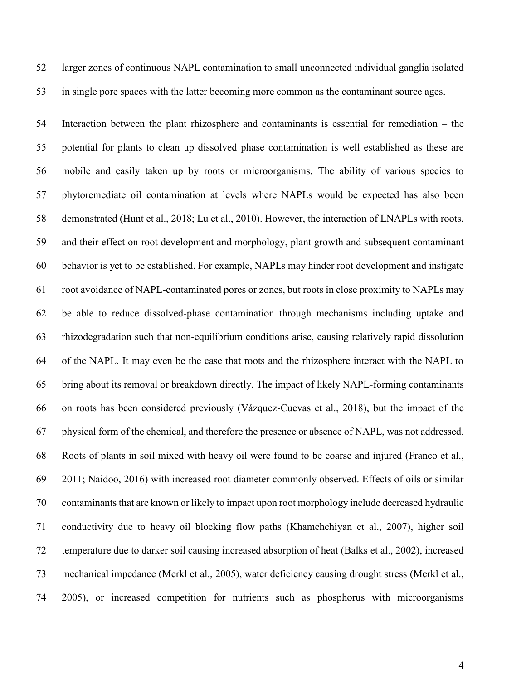52 larger zones of continuous NAPL contamination to small unconnected individual ganglia isolated 53 in single pore spaces with the latter becoming more common as the contaminant source ages.

54 Interaction between the plant rhizosphere and contaminants is essential for remediation – the 55 potential for plants to clean up dissolved phase contamination is well established as these are 56 mobile and easily taken up by roots or microorganisms. The ability of various species to 57 phytoremediate oil contamination at levels where NAPLs would be expected has also been 58 demonstrated (Hunt et al., 2018; Lu et al., 2010). However, the interaction of LNAPLs with roots, 59 and their effect on root development and morphology, plant growth and subsequent contaminant 60 behavior is yet to be established. For example, NAPLs may hinder root development and instigate 61 root avoidance of NAPL-contaminated pores or zones, but roots in close proximity to NAPLs may 62 be able to reduce dissolved-phase contamination through mechanisms including uptake and 63 rhizodegradation such that non-equilibrium conditions arise, causing relatively rapid dissolution 64 of the NAPL. It may even be the case that roots and the rhizosphere interact with the NAPL to 65 bring about its removal or breakdown directly. The impact of likely NAPL-forming contaminants 66 on roots has been considered previously (Vázquez-Cuevas et al., 2018), but the impact of the 67 physical form of the chemical, and therefore the presence or absence of NAPL, was not addressed. 68 Roots of plants in soil mixed with heavy oil were found to be coarse and injured (Franco et al., 69 2011; Naidoo, 2016) with increased root diameter commonly observed. Effects of oils or similar 70 contaminants that are known or likely to impact upon root morphology include decreased hydraulic 71 conductivity due to heavy oil blocking flow paths (Khamehchiyan et al., 2007), higher soil 72 temperature due to darker soil causing increased absorption of heat (Balks et al., 2002), increased 73 mechanical impedance (Merkl et al., 2005), water deficiency causing drought stress (Merkl et al., 74 2005), or increased competition for nutrients such as phosphorus with microorganisms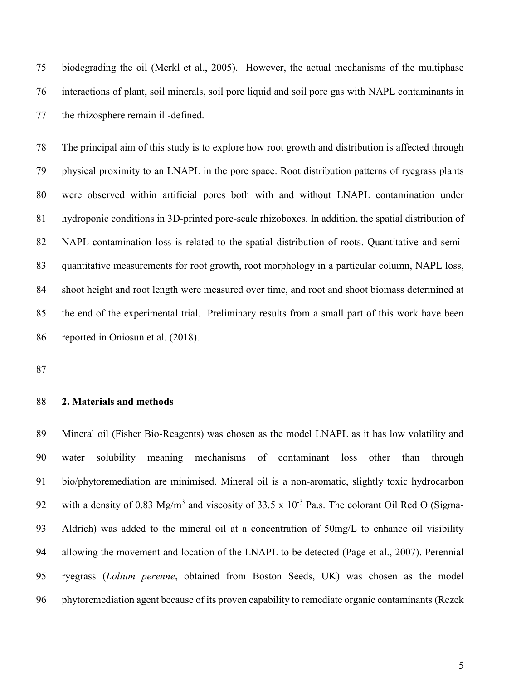75 biodegrading the oil (Merkl et al., 2005). However, the actual mechanisms of the multiphase 76 interactions of plant, soil minerals, soil pore liquid and soil pore gas with NAPL contaminants in 77 the rhizosphere remain ill-defined.

78 The principal aim of this study is to explore how root growth and distribution is affected through 79 physical proximity to an LNAPL in the pore space. Root distribution patterns of ryegrass plants 80 were observed within artificial pores both with and without LNAPL contamination under 81 hydroponic conditions in 3D-printed pore-scale rhizoboxes. In addition, the spatial distribution of 82 NAPL contamination loss is related to the spatial distribution of roots. Quantitative and semi-83 quantitative measurements for root growth, root morphology in a particular column, NAPL loss, 84 shoot height and root length were measured over time, and root and shoot biomass determined at 85 the end of the experimental trial. Preliminary results from a small part of this work have been 86 reported in Oniosun et al. (2018).

87

#### 88 **2. Materials and methods**

89 Mineral oil (Fisher Bio-Reagents) was chosen as the model LNAPL as it has low volatility and 90 water solubility meaning mechanisms of contaminant loss other than through 91 bio/phytoremediation are minimised. Mineral oil is a non-aromatic, slightly toxic hydrocarbon 92 with a density of 0.83 Mg/m<sup>3</sup> and viscosity of 33.5 x  $10^{-3}$  Pa.s. The colorant Oil Red O (Sigma-93 Aldrich) was added to the mineral oil at a concentration of 50mg/L to enhance oil visibility 94 allowing the movement and location of the LNAPL to be detected (Page et al., 2007). Perennial 95 ryegrass (*Lolium perenne*, obtained from Boston Seeds, UK) was chosen as the model 96 phytoremediation agent because of its proven capability to remediate organic contaminants (Rezek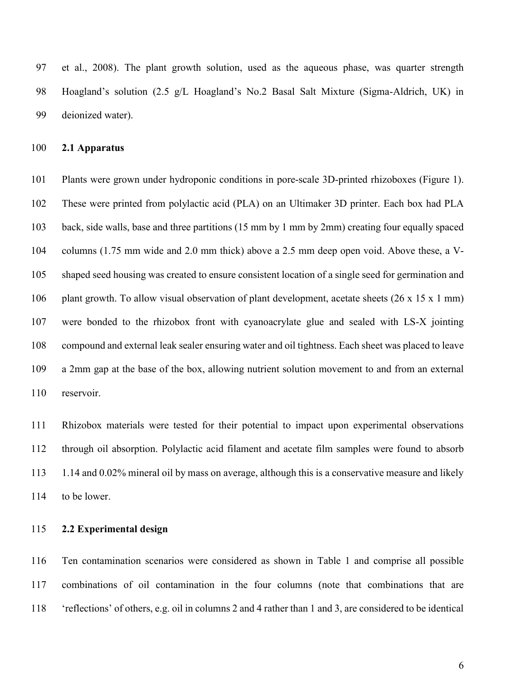97 et al., 2008). The plant growth solution, used as the aqueous phase, was quarter strength 98 Hoagland's solution (2.5 g/L Hoagland's No.2 Basal Salt Mixture (Sigma-Aldrich, UK) in 99 deionized water).

#### 100 **2.1 Apparatus**

101 Plants were grown under hydroponic conditions in pore-scale 3D-printed rhizoboxes (Figure 1). 102 These were printed from polylactic acid (PLA) on an Ultimaker 3D printer. Each box had PLA 103 back, side walls, base and three partitions (15 mm by 1 mm by 2mm) creating four equally spaced 104 columns (1.75 mm wide and 2.0 mm thick) above a 2.5 mm deep open void. Above these, a V-105 shaped seed housing was created to ensure consistent location of a single seed for germination and 106 plant growth. To allow visual observation of plant development, acetate sheets (26 x 15 x 1 mm) 107 were bonded to the rhizobox front with cyanoacrylate glue and sealed with LS-X jointing 108 compound and external leak sealer ensuring water and oil tightness. Each sheet was placed to leave 109 a 2mm gap at the base of the box, allowing nutrient solution movement to and from an external 110 reservoir.

111 Rhizobox materials were tested for their potential to impact upon experimental observations 112 through oil absorption. Polylactic acid filament and acetate film samples were found to absorb 113 1.14 and 0.02% mineral oil by mass on average, although this is a conservative measure and likely 114 to be lower.

#### 115 **2.2 Experimental design**

116 Ten contamination scenarios were considered as shown in Table 1 and comprise all possible 117 combinations of oil contamination in the four columns (note that combinations that are 118 'reflections' of others, e.g. oil in columns 2 and 4 rather than 1 and 3, are considered to be identical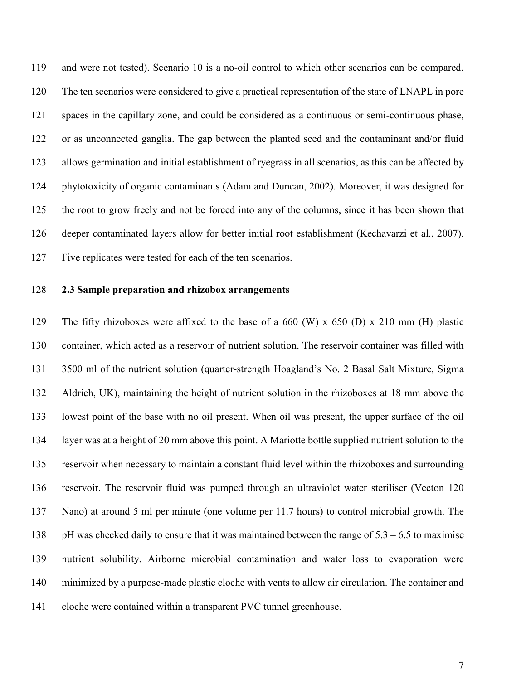119 and were not tested). Scenario 10 is a no-oil control to which other scenarios can be compared. 120 The ten scenarios were considered to give a practical representation of the state of LNAPL in pore 121 spaces in the capillary zone, and could be considered as a continuous or semi-continuous phase, 122 or as unconnected ganglia. The gap between the planted seed and the contaminant and/or fluid 123 allows germination and initial establishment of ryegrass in all scenarios, as this can be affected by 124 phytotoxicity of organic contaminants (Adam and Duncan, 2002). Moreover, it was designed for 125 the root to grow freely and not be forced into any of the columns, since it has been shown that 126 deeper contaminated layers allow for better initial root establishment (Kechavarzi et al., 2007). 127 Five replicates were tested for each of the ten scenarios.

#### 128 **2.3 Sample preparation and rhizobox arrangements**

129 The fifty rhizoboxes were affixed to the base of a 660 (W) x 650 (D) x 210 mm (H) plastic 130 container, which acted as a reservoir of nutrient solution. The reservoir container was filled with 131 3500 ml of the nutrient solution (quarter-strength Hoagland's No. 2 Basal Salt Mixture, Sigma 132 Aldrich, UK), maintaining the height of nutrient solution in the rhizoboxes at 18 mm above the 133 lowest point of the base with no oil present. When oil was present, the upper surface of the oil 134 layer was at a height of 20 mm above this point. A Mariotte bottle supplied nutrient solution to the 135 reservoir when necessary to maintain a constant fluid level within the rhizoboxes and surrounding 136 reservoir. The reservoir fluid was pumped through an ultraviolet water steriliser (Vecton 120 137 Nano) at around 5 ml per minute (one volume per 11.7 hours) to control microbial growth. The 138 pH was checked daily to ensure that it was maintained between the range of  $5.3 - 6.5$  to maximise 139 nutrient solubility. Airborne microbial contamination and water loss to evaporation were 140 minimized by a purpose-made plastic cloche with vents to allow air circulation. The container and 141 cloche were contained within a transparent PVC tunnel greenhouse.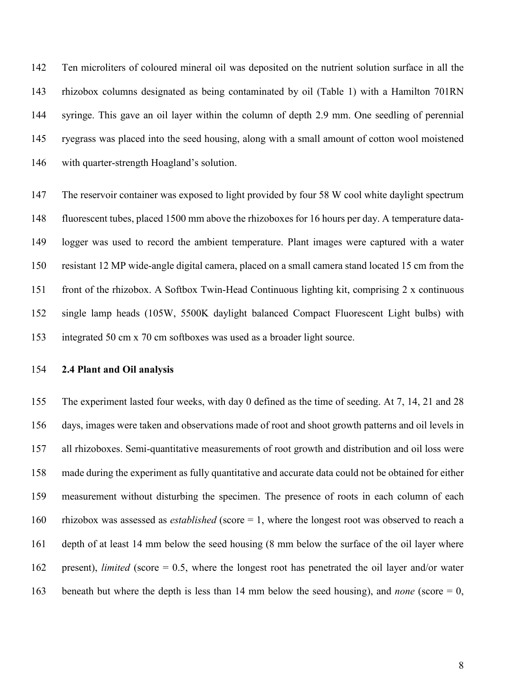142 Ten microliters of coloured mineral oil was deposited on the nutrient solution surface in all the 143 rhizobox columns designated as being contaminated by oil (Table 1) with a Hamilton 701RN 144 syringe. This gave an oil layer within the column of depth 2.9 mm. One seedling of perennial 145 ryegrass was placed into the seed housing, along with a small amount of cotton wool moistened 146 with quarter-strength Hoagland's solution.

147 The reservoir container was exposed to light provided by four 58 W cool white daylight spectrum 148 fluorescent tubes, placed 1500 mm above the rhizoboxes for 16 hours per day. A temperature data-149 logger was used to record the ambient temperature. Plant images were captured with a water 150 resistant 12 MP wide-angle digital camera, placed on a small camera stand located 15 cm from the 151 front of the rhizobox. A Softbox Twin-Head Continuous lighting kit, comprising 2 x continuous 152 single lamp heads (105W, 5500K daylight balanced Compact Fluorescent Light bulbs) with 153 integrated 50 cm x 70 cm softboxes was used as a broader light source.

#### 154 **2.4 Plant and Oil analysis**

155 The experiment lasted four weeks, with day 0 defined as the time of seeding. At 7, 14, 21 and 28 156 days, images were taken and observations made of root and shoot growth patterns and oil levels in 157 all rhizoboxes. Semi-quantitative measurements of root growth and distribution and oil loss were 158 made during the experiment as fully quantitative and accurate data could not be obtained for either 159 measurement without disturbing the specimen. The presence of roots in each column of each 160 rhizobox was assessed as *established* (score = 1, where the longest root was observed to reach a 161 depth of at least 14 mm below the seed housing (8 mm below the surface of the oil layer where 162 present), *limited* (score = 0.5, where the longest root has penetrated the oil layer and/or water 163 beneath but where the depth is less than 14 mm below the seed housing), and *none* (score = 0,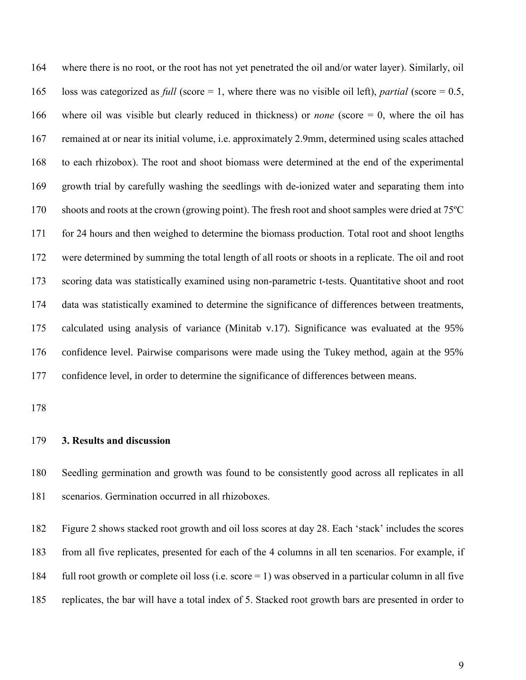164 where there is no root, or the root has not yet penetrated the oil and/or water layer). Similarly, oil 165 loss was categorized as *full* (score = 1, where there was no visible oil left), *partial* (score = 0.5, 166 where oil was visible but clearly reduced in thickness) or *none* (score = 0, where the oil has 167 remained at or near its initial volume, i.e. approximately 2.9mm, determined using scales attached 168 to each rhizobox). The root and shoot biomass were determined at the end of the experimental 169 growth trial by carefully washing the seedlings with de-ionized water and separating them into 170 shoots and roots at the crown (growing point). The fresh root and shoot samples were dried at 75ºC 171 for 24 hours and then weighed to determine the biomass production. Total root and shoot lengths 172 were determined by summing the total length of all roots or shoots in a replicate. The oil and root 173 scoring data was statistically examined using non-parametric t-tests. Quantitative shoot and root 174 data was statistically examined to determine the significance of differences between treatments, 175 calculated using analysis of variance (Minitab v.17). Significance was evaluated at the 95% 176 confidence level. Pairwise comparisons were made using the Tukey method, again at the 95% 177 confidence level, in order to determine the significance of differences between means.

178

#### 179 **3. Results and discussion**

180 Seedling germination and growth was found to be consistently good across all replicates in all 181 scenarios. Germination occurred in all rhizoboxes.

182 Figure 2 shows stacked root growth and oil loss scores at day 28. Each 'stack' includes the scores 183 from all five replicates, presented for each of the 4 columns in all ten scenarios. For example, if 184 full root growth or complete oil loss (i.e. score = 1) was observed in a particular column in all five 185 replicates, the bar will have a total index of 5. Stacked root growth bars are presented in order to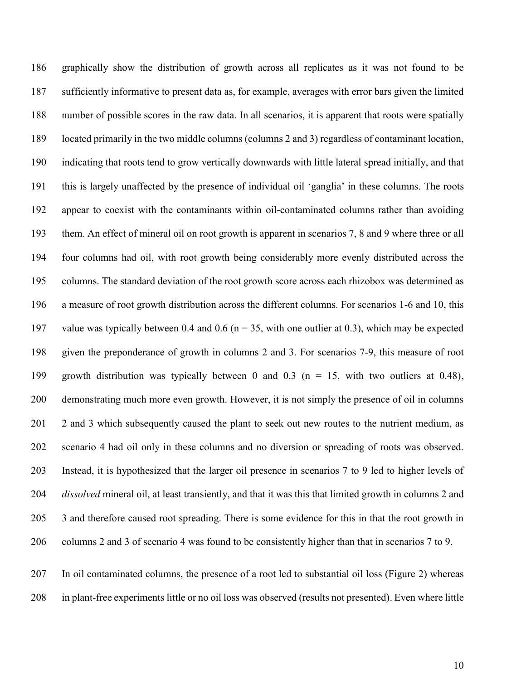186 graphically show the distribution of growth across all replicates as it was not found to be 187 sufficiently informative to present data as, for example, averages with error bars given the limited 188 number of possible scores in the raw data. In all scenarios, it is apparent that roots were spatially 189 located primarily in the two middle columns (columns 2 and 3) regardless of contaminant location, 190 indicating that roots tend to grow vertically downwards with little lateral spread initially, and that 191 this is largely unaffected by the presence of individual oil 'ganglia' in these columns. The roots 192 appear to coexist with the contaminants within oil-contaminated columns rather than avoiding 193 them. An effect of mineral oil on root growth is apparent in scenarios 7, 8 and 9 where three or all 194 four columns had oil, with root growth being considerably more evenly distributed across the 195 columns. The standard deviation of the root growth score across each rhizobox was determined as 196 a measure of root growth distribution across the different columns. For scenarios 1-6 and 10, this 197 value was typically between 0.4 and 0.6 (n = 35, with one outlier at 0.3), which may be expected 198 given the preponderance of growth in columns 2 and 3. For scenarios 7-9, this measure of root 199 growth distribution was typically between 0 and 0.3 (n = 15, with two outliers at 0.48), 200 demonstrating much more even growth. However, it is not simply the presence of oil in columns 201 2 and 3 which subsequently caused the plant to seek out new routes to the nutrient medium, as 202 scenario 4 had oil only in these columns and no diversion or spreading of roots was observed. 203 Instead, it is hypothesized that the larger oil presence in scenarios 7 to 9 led to higher levels of 204 *dissolved* mineral oil, at least transiently, and that it was this that limited growth in columns 2 and 205 3 and therefore caused root spreading. There is some evidence for this in that the root growth in 206 columns 2 and 3 of scenario 4 was found to be consistently higher than that in scenarios 7 to 9.

207 In oil contaminated columns, the presence of a root led to substantial oil loss (Figure 2) whereas 208 in plant-free experiments little or no oil loss was observed (results not presented). Even where little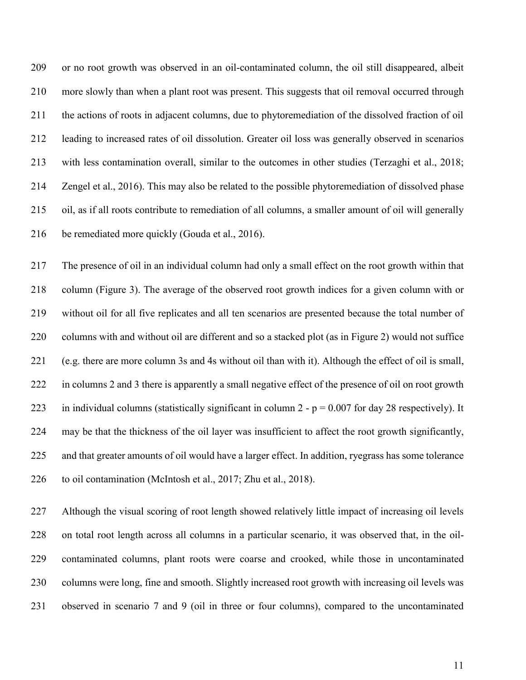209 or no root growth was observed in an oil-contaminated column, the oil still disappeared, albeit 210 more slowly than when a plant root was present. This suggests that oil removal occurred through 211 the actions of roots in adjacent columns, due to phytoremediation of the dissolved fraction of oil 212 leading to increased rates of oil dissolution. Greater oil loss was generally observed in scenarios 213 with less contamination overall, similar to the outcomes in other studies (Terzaghi et al., 2018; 214 Zengel et al., 2016). This may also be related to the possible phytoremediation of dissolved phase 215 oil, as if all roots contribute to remediation of all columns, a smaller amount of oil will generally 216 be remediated more quickly (Gouda et al., 2016).

217 The presence of oil in an individual column had only a small effect on the root growth within that 218 column (Figure 3). The average of the observed root growth indices for a given column with or 219 without oil for all five replicates and all ten scenarios are presented because the total number of 220 columns with and without oil are different and so a stacked plot (as in Figure 2) would not suffice 221 (e.g. there are more column 3s and 4s without oil than with it). Although the effect of oil is small, 222 in columns 2 and 3 there is apparently a small negative effect of the presence of oil on root growth 223 in individual columns (statistically significant in column 2 -  $p = 0.007$  for day 28 respectively). It 224 may be that the thickness of the oil layer was insufficient to affect the root growth significantly, 225 and that greater amounts of oil would have a larger effect. In addition, ryegrass has some tolerance 226 to oil contamination (McIntosh et al., 2017; Zhu et al., 2018).

227 Although the visual scoring of root length showed relatively little impact of increasing oil levels 228 on total root length across all columns in a particular scenario, it was observed that, in the oil-229 contaminated columns, plant roots were coarse and crooked, while those in uncontaminated 230 columns were long, fine and smooth. Slightly increased root growth with increasing oil levels was 231 observed in scenario 7 and 9 (oil in three or four columns), compared to the uncontaminated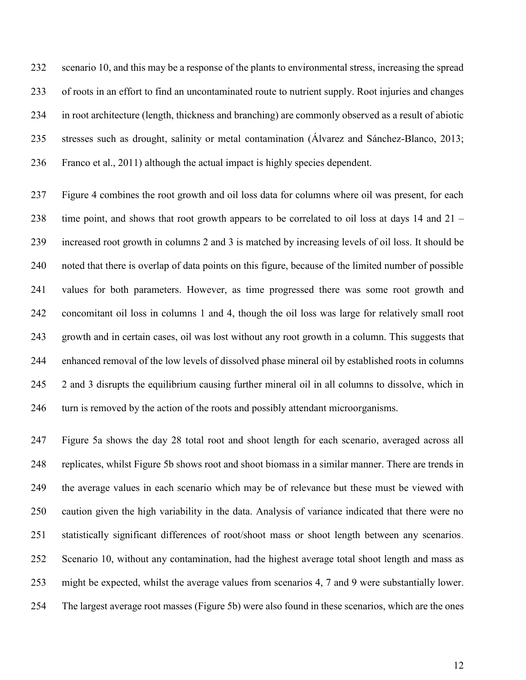232 scenario 10, and this may be a response of the plants to environmental stress, increasing the spread 233 of roots in an effort to find an uncontaminated route to nutrient supply. Root injuries and changes 234 in root architecture (length, thickness and branching) are commonly observed as a result of abiotic 235 stresses such as drought, salinity or metal contamination (Álvarez and Sánchez-Blanco, 2013; 236 Franco et al., 2011) although the actual impact is highly species dependent.

237 Figure 4 combines the root growth and oil loss data for columns where oil was present, for each 238 time point, and shows that root growth appears to be correlated to oil loss at days 14 and 21 – 239 increased root growth in columns 2 and 3 is matched by increasing levels of oil loss. It should be 240 noted that there is overlap of data points on this figure, because of the limited number of possible 241 values for both parameters. However, as time progressed there was some root growth and 242 concomitant oil loss in columns 1 and 4, though the oil loss was large for relatively small root 243 growth and in certain cases, oil was lost without any root growth in a column. This suggests that 244 enhanced removal of the low levels of dissolved phase mineral oil by established roots in columns 245 2 and 3 disrupts the equilibrium causing further mineral oil in all columns to dissolve, which in 246 turn is removed by the action of the roots and possibly attendant microorganisms.

247 Figure 5a shows the day 28 total root and shoot length for each scenario, averaged across all 248 replicates, whilst Figure 5b shows root and shoot biomass in a similar manner. There are trends in 249 the average values in each scenario which may be of relevance but these must be viewed with 250 caution given the high variability in the data. Analysis of variance indicated that there were no 251 statistically significant differences of root/shoot mass or shoot length between any scenarios. 252 Scenario 10, without any contamination, had the highest average total shoot length and mass as 253 might be expected, whilst the average values from scenarios 4, 7 and 9 were substantially lower. 254 The largest average root masses (Figure 5b) were also found in these scenarios, which are the ones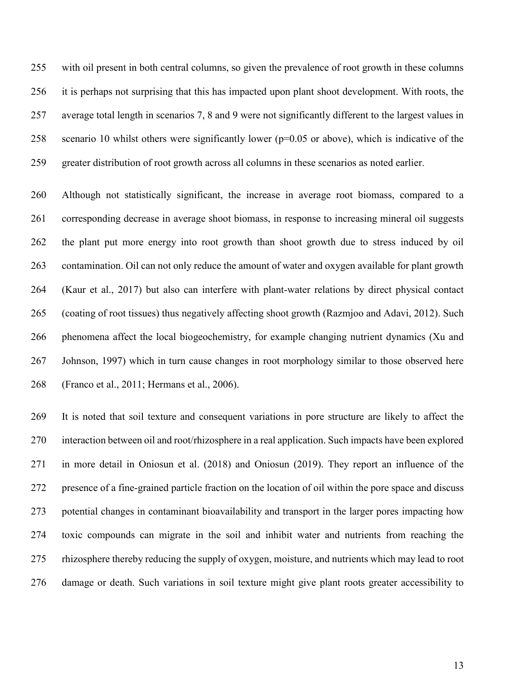255 with oil present in both central columns, so given the prevalence of root growth in these columns 256 it is perhaps not surprising that this has impacted upon plant shoot development. With roots, the 257 average total length in scenarios 7, 8 and 9 were not significantly different to the largest values in 258 scenario 10 whilst others were significantly lower (p=0.05 or above), which is indicative of the 259 greater distribution of root growth across all columns in these scenarios as noted earlier.

260 Although not statistically significant, the increase in average root biomass, compared to a 261 corresponding decrease in average shoot biomass, in response to increasing mineral oil suggests 262 the plant put more energy into root growth than shoot growth due to stress induced by oil 263 contamination. Oil can not only reduce the amount of water and oxygen available for plant growth 264 (Kaur et al., 2017) but also can interfere with plant-water relations by direct physical contact 265 (coating of root tissues) thus negatively affecting shoot growth (Razmjoo and Adavi, 2012). Such 266 phenomena affect the local biogeochemistry, for example changing nutrient dynamics (Xu and 267 Johnson, 1997) which in turn cause changes in root morphology similar to those observed here 268 (Franco et al., 2011; Hermans et al., 2006).

269 It is noted that soil texture and consequent variations in pore structure are likely to affect the 270 interaction between oil and root/rhizosphere in a real application. Such impacts have been explored 271 in more detail in Oniosun et al. (2018) and Oniosun (2019). They report an influence of the 272 presence of a fine-grained particle fraction on the location of oil within the pore space and discuss 273 potential changes in contaminant bioavailability and transport in the larger pores impacting how 274 toxic compounds can migrate in the soil and inhibit water and nutrients from reaching the 275 rhizosphere thereby reducing the supply of oxygen, moisture, and nutrients which may lead to root 276 damage or death. Such variations in soil texture might give plant roots greater accessibility to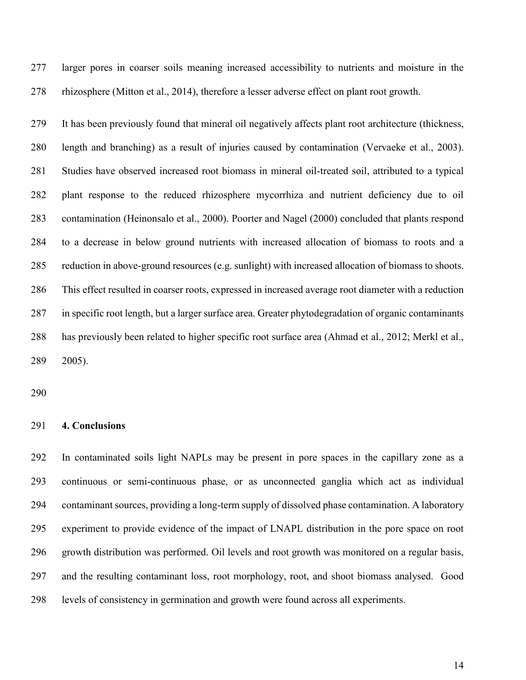277 larger pores in coarser soils meaning increased accessibility to nutrients and moisture in the 278 rhizosphere (Mitton et al., 2014), therefore a lesser adverse effect on plant root growth.

279 It has been previously found that mineral oil negatively affects plant root architecture (thickness, 280 length and branching) as a result of injuries caused by contamination (Vervaeke et al., 2003). 281 Studies have observed increased root biomass in mineral oil-treated soil, attributed to a typical 282 plant response to the reduced rhizosphere mycorrhiza and nutrient deficiency due to oil 283 contamination (Heinonsalo et al., 2000). Poorter and Nagel (2000) concluded that plants respond 284 to a decrease in below ground nutrients with increased allocation of biomass to roots and a 285 reduction in above-ground resources (e.g. sunlight) with increased allocation of biomass to shoots. 286 This effect resulted in coarser roots, expressed in increased average root diameter with a reduction 287 in specific root length, but a larger surface area. Greater phytodegradation of organic contaminants 288 has previously been related to higher specific root surface area (Ahmad et al., 2012; Merkl et al., 289 2005).

290

#### 291 **4. Conclusions**

292 In contaminated soils light NAPLs may be present in pore spaces in the capillary zone as a 293 continuous or semi-continuous phase, or as unconnected ganglia which act as individual 294 contaminant sources, providing a long-term supply of dissolved phase contamination. A laboratory 295 experiment to provide evidence of the impact of LNAPL distribution in the pore space on root 296 growth distribution was performed. Oil levels and root growth was monitored on a regular basis, 297 and the resulting contaminant loss, root morphology, root, and shoot biomass analysed. Good 298 levels of consistency in germination and growth were found across all experiments.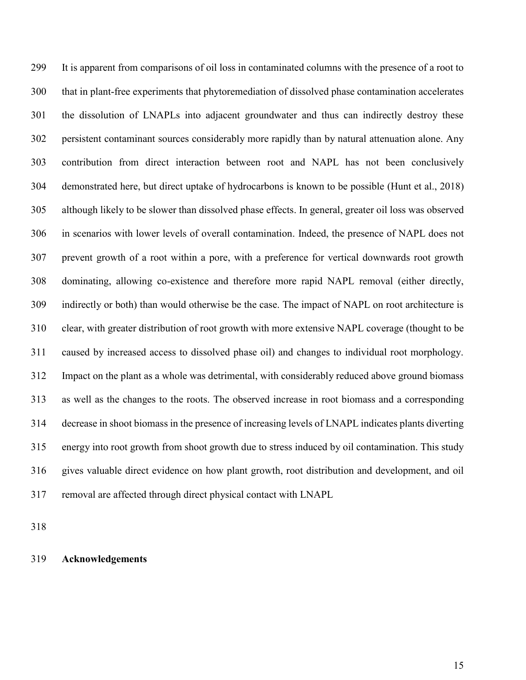299 It is apparent from comparisons of oil loss in contaminated columns with the presence of a root to 300 that in plant-free experiments that phytoremediation of dissolved phase contamination accelerates 301 the dissolution of LNAPLs into adjacent groundwater and thus can indirectly destroy these 302 persistent contaminant sources considerably more rapidly than by natural attenuation alone. Any 303 contribution from direct interaction between root and NAPL has not been conclusively 304 demonstrated here, but direct uptake of hydrocarbons is known to be possible (Hunt et al., 2018) 305 although likely to be slower than dissolved phase effects. In general, greater oil loss was observed 306 in scenarios with lower levels of overall contamination. Indeed, the presence of NAPL does not 307 prevent growth of a root within a pore, with a preference for vertical downwards root growth 308 dominating, allowing co-existence and therefore more rapid NAPL removal (either directly, 309 indirectly or both) than would otherwise be the case. The impact of NAPL on root architecture is 310 clear, with greater distribution of root growth with more extensive NAPL coverage (thought to be 311 caused by increased access to dissolved phase oil) and changes to individual root morphology. 312 Impact on the plant as a whole was detrimental, with considerably reduced above ground biomass 313 as well as the changes to the roots. The observed increase in root biomass and a corresponding 314 decrease in shoot biomass in the presence of increasing levels of LNAPL indicates plants diverting 315 energy into root growth from shoot growth due to stress induced by oil contamination. This study 316 gives valuable direct evidence on how plant growth, root distribution and development, and oil 317 removal are affected through direct physical contact with LNAPL

318

319 **Acknowledgements**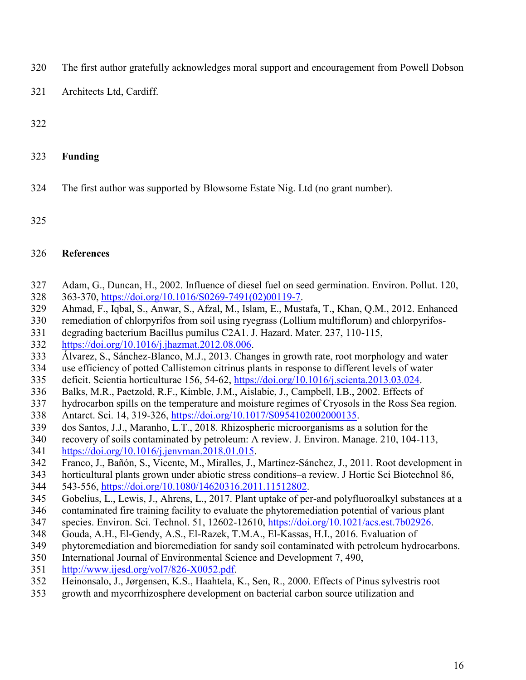- 320 The first author gratefully acknowledges moral support and encouragement from Powell Dobson
- 321 Architects Ltd, Cardiff.

- 323 **Funding**
- 324 The first author was supported by Blowsome Estate Nig. Ltd (no grant number).
- 325

#### 326 **References**

- 327 Adam, G., Duncan, H., 2002. Influence of diesel fuel on seed germination. Environ. Pollut. 120, 328 363-370, [https://doi.org/10.1016/S0269-7491\(02\)00119-7.](https://doi.org/10.1016/S0269-7491(02)00119-7)
- 329 Ahmad, F., Iqbal, S., Anwar, S., Afzal, M., Islam, E., Mustafa, T., Khan, Q.M., 2012. Enhanced
- 330 remediation of chlorpyrifos from soil using ryegrass (Lollium multiflorum) and chlorpyrifos-
- 331 degrading bacterium Bacillus pumilus C2A1. J. Hazard. Mater. 237, 110-115,
- 332 [https://doi.org/10.1016/j.jhazmat.2012.08.006.](https://doi.org/10.1016/j.jhazmat.2012.08.006)
- 333 Álvarez, S., Sánchez-Blanco, M.J., 2013. Changes in growth rate, root morphology and water
- 334 use efficiency of potted Callistemon citrinus plants in response to different levels of water
- 335 deficit. Scientia horticulturae 156, 54-62, [https://doi.org/10.1016/j.scienta.2013.03.024.](https://doi.org/10.1016/j.scienta.2013.03.024)
- 336 Balks, M.R., Paetzold, R.F., Kimble, J.M., Aislabie, J., Campbell, I.B., 2002. Effects of
- 337 hydrocarbon spills on the temperature and moisture regimes of Cryosols in the Ross Sea region.
- 338 Antarct. Sci. 14, 319-326, [https://doi.org/10.1017/S0954102002000135.](https://doi.org/10.1017/S0954102002000135)
- 339 dos Santos, J.J., Maranho, L.T., 2018. Rhizospheric microorganisms as a solution for the
- 340 recovery of soils contaminated by petroleum: A review. J. Environ. Manage. 210, 104-113, 341 [https://doi.org/10.1016/j.jenvman.2018.01.015.](https://doi.org/10.1016/j.jenvman.2018.01.015)
- 342 Franco, J., Bañón, S., Vicente, M., Miralles, J., Martínez-Sánchez, J., 2011. Root development in
- 343 horticultural plants grown under abiotic stress conditions–a review. J Hortic Sci Biotechnol 86,
- 344 543-556, [https://doi.org/10.1080/14620316.2011.11512802.](https://doi.org/10.1080/14620316.2011.11512802)
- 345 Gobelius, L., Lewis, J., Ahrens, L., 2017. Plant uptake of per-and polyfluoroalkyl substances at a
- 346 contaminated fire training facility to evaluate the phytoremediation potential of various plant
- 347 species. Environ. Sci. Technol. 51, 12602-12610, [https://doi.org/10.1021/acs.est.7b02926.](https://doi.org/10.1021/acs.est.7b02926)
- 348 Gouda, A.H., El-Gendy, A.S., El-Razek, T.M.A., El-Kassas, H.I., 2016. Evaluation of
- 349 phytoremediation and bioremediation for sandy soil contaminated with petroleum hydrocarbons.
- 350 International Journal of Environmental Science and Development 7, 490,
- 351 [http://www.ijesd.org/vol7/826-X0052.pdf.](http://www.ijesd.org/vol7/826-X0052.pdf)
- 352 Heinonsalo, J., Jørgensen, K.S., Haahtela, K., Sen, R., 2000. Effects of Pinus sylvestris root
- 353 growth and mycorrhizosphere development on bacterial carbon source utilization and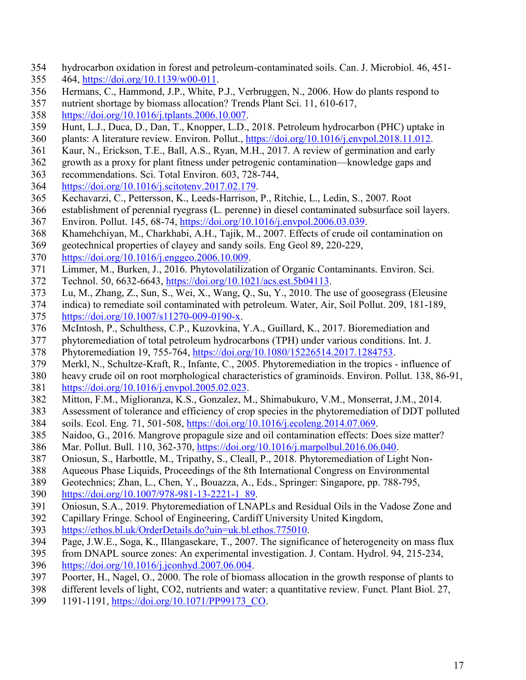- 354 hydrocarbon oxidation in forest and petroleum-contaminated soils. Can. J. Microbiol. 46, 451-
- 355 464, [https://doi.org/10.1139/w00-011.](https://doi.org/10.1139/w00-011)
- 356 Hermans, C., Hammond, J.P., White, P.J., Verbruggen, N., 2006. How do plants respond to
- 357 nutrient shortage by biomass allocation? Trends Plant Sci. 11, 610-617,
- 358 [https://doi.org/10.1016/j.tplants.2006.10.007.](https://doi.org/10.1016/j.tplants.2006.10.007)
- 359 Hunt, L.J., Duca, D., Dan, T., Knopper, L.D., 2018. Petroleum hydrocarbon (PHC) uptake in
- 360 plants: A literature review. Environ. Pollut., [https://doi.org/10.1016/j.envpol.2018.11.012.](https://doi.org/10.1016/j.envpol.2018.11.012)
- 361 Kaur, N., Erickson, T.E., Ball, A.S., Ryan, M.H., 2017. A review of germination and early
- 362 growth as a proxy for plant fitness under petrogenic contamination—knowledge gaps and
- 363 recommendations. Sci. Total Environ. 603, 728-744,
- 364 [https://doi.org/10.1016/j.scitotenv.2017.02.179.](https://doi.org/10.1016/j.scitotenv.2017.02.179)
- 365 Kechavarzi, C., Pettersson, K., Leeds-Harrison, P., Ritchie, L., Ledin, S., 2007. Root
- 366 establishment of perennial ryegrass (L. perenne) in diesel contaminated subsurface soil layers. 367 Environ. Pollut. 145, 68-74, [https://doi.org/10.1016/j.envpol.2006.03.039.](https://doi.org/10.1016/j.envpol.2006.03.039)
- 368 Khamehchiyan, M., Charkhabi, A.H., Tajik, M., 2007. Effects of crude oil contamination on
- 369 geotechnical properties of clayey and sandy soils. Eng Geol 89, 220-229,
- 370 [https://doi.org/10.1016/j.enggeo.2006.10.009.](https://doi.org/10.1016/j.enggeo.2006.10.009)
- 371 Limmer, M., Burken, J., 2016. Phytovolatilization of Organic Contaminants. Environ. Sci.
- 372 Technol. 50, 6632-6643, [https://doi.org/10.1021/acs.est.5b04113.](https://doi.org/10.1021/acs.est.5b04113)
- 373 Lu, M., Zhang, Z., Sun, S., Wei, X., Wang, Q., Su, Y., 2010. The use of goosegrass (Eleusine
- 374 indica) to remediate soil contaminated with petroleum. Water, Air, Soil Pollut. 209, 181-189,
- 375 [https://doi.org/10.1007/s11270-009-0190-x.](https://doi.org/10.1007/s11270-009-0190-x)
- 376 McIntosh, P., Schulthess, C.P., Kuzovkina, Y.A., Guillard, K., 2017. Bioremediation and
- 377 phytoremediation of total petroleum hydrocarbons (TPH) under various conditions. Int. J.
- 378 Phytoremediation 19, 755-764, [https://doi.org/10.1080/15226514.2017.1284753.](https://doi.org/10.1080/15226514.2017.1284753)
- 379 Merkl, N., Schultze-Kraft, R., Infante, C., 2005. Phytoremediation in the tropics influence of
- 380 heavy crude oil on root morphological characteristics of graminoids. Environ. Pollut. 138, 86-91, 381 [https://doi.org/10.1016/j.envpol.2005.02.023.](https://doi.org/10.1016/j.envpol.2005.02.023)
- 382 Mitton, F.M., Miglioranza, K.S., Gonzalez, M., Shimabukuro, V.M., Monserrat, J.M., 2014.
- 383 Assessment of tolerance and efficiency of crop species in the phytoremediation of DDT polluted 384 soils. Ecol. Eng. 71, 501-508, [https://doi.org/10.1016/j.ecoleng.2014.07.069.](https://doi.org/10.1016/j.ecoleng.2014.07.069)
- 385 Naidoo, G., 2016. Mangrove propagule size and oil contamination effects: Does size matter?
- 386 Mar. Pollut. Bull. 110, 362-370, [https://doi.org/10.1016/j.marpolbul.2016.06.040.](https://doi.org/10.1016/j.marpolbul.2016.06.040)
- 387 Oniosun, S., Harbottle, M., Tripathy, S., Cleall, P., 2018. Phytoremediation of Light Non-
- 388 Aqueous Phase Liquids, Proceedings of the 8th International Congress on Environmental
- 389 Geotechnics; Zhan, L., Chen, Y., Bouazza, A., Eds., Springer: Singapore, pp. 788-795,
- 390 [https://doi.org/10.1007/978-981-13-2221-1\\_89.](https://doi.org/10.1007/978-981-13-2221-1_89)
- 391 Oniosun, S.A., 2019. Phytoremediation of LNAPLs and Residual Oils in the Vadose Zone and
- 392 Capillary Fringe. School of Engineering, Cardiff University United Kingdom,
- 393 [https://ethos.bl.uk/OrderDetails.do?uin=uk.bl.ethos.775010.](https://ethos.bl.uk/OrderDetails.do?uin=uk.bl.ethos.775010)
- 394 Page, J.W.E., Soga, K., Illangasekare, T., 2007. The significance of heterogeneity on mass flux
- 395 from DNAPL source zones: An experimental investigation. J. Contam. Hydrol. 94, 215-234, 396 [https://doi.org/10.1016/j.jconhyd.2007.06.004.](https://doi.org/10.1016/j.jconhyd.2007.06.004)
- 397 Poorter, H., Nagel, O., 2000. The role of biomass allocation in the growth response of plants to
- 398 different levels of light, CO2, nutrients and water: a quantitative review. Funct. Plant Biol. 27,
- 399 1191-1191, [https://doi.org/10.1071/PP99173\\_CO.](https://doi.org/10.1071/PP99173_CO)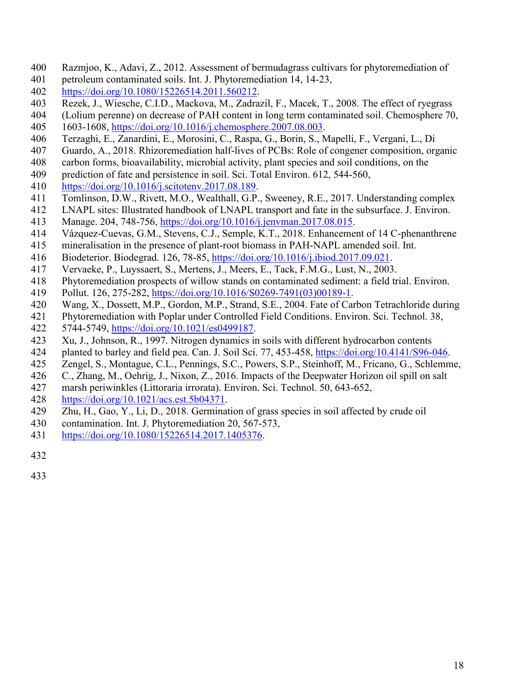- 400 Razmjoo, K., Adavi, Z., 2012. Assessment of bermudagrass cultivars for phytoremediation of
- 401 petroleum contaminated soils. Int. J. Phytoremediation 14, 14-23,
- 402 [https://doi.org/10.1080/15226514.2011.560212.](https://doi.org/10.1080/15226514.2011.560212)
- 403 Rezek, J., Wiesche, C.I.D., Mackova, M., Zadrazil, F., Macek, T., 2008. The effect of ryegrass
- 404 (Lolium perenne) on decrease of PAH content in long term contaminated soil. Chemosphere 70, 405 1603-1608, [https://doi.org/10.1016/j.chemosphere.2007.08.003.](https://doi.org/10.1016/j.chemosphere.2007.08.003)
- 406 Terzaghi, E., Zanardini, E., Morosini, C., Raspa, G., Borin, S., Mapelli, F., Vergani, L., Di
- 407 Guardo, A., 2018. Rhizoremediation half-lives of PCBs: Role of congener composition, organic
- 408 carbon forms, bioavailability, microbial activity, plant species and soil conditions, on the
- 409 prediction of fate and persistence in soil. Sci. Total Environ. 612, 544-560,
- 410 [https://doi.org/10.1016/j.scitotenv.2017.08.189.](https://doi.org/10.1016/j.scitotenv.2017.08.189)
- 411 Tomlinson, D.W., Rivett, M.O., Wealthall, G.P., Sweeney, R.E., 2017. Understanding complex
- 412 LNAPL sites: Illustrated handbook of LNAPL transport and fate in the subsurface. J. Environ.
- 413 Manage. 204, 748-756, [https://doi.org/10.1016/j.jenvman.2017.08.015.](https://doi.org/10.1016/j.jenvman.2017.08.015)
- 414 Vázquez-Cuevas, G.M., Stevens, C.J., Semple, K.T., 2018. Enhancement of 14 C-phenanthrene
- 415 mineralisation in the presence of plant-root biomass in PAH-NAPL amended soil. Int.
- 416 Biodeterior. Biodegrad. 126, 78-85, [https://doi.org/10.1016/j.ibiod.2017.09.021.](https://doi.org/10.1016/j.ibiod.2017.09.021)
- 417 Vervaeke, P., Luyssaert, S., Mertens, J., Meers, E., Tack, F.M.G., Lust, N., 2003.
- 418 Phytoremediation prospects of willow stands on contaminated sediment: a field trial. Environ. 419 Pollut. 126, 275-282, [https://doi.org/10.1016/S0269-7491\(03\)00189-1.](https://doi.org/10.1016/S0269-7491(03)00189-1)
- 420 Wang, X., Dossett, M.P., Gordon, M.P., Strand, S.E., 2004. Fate of Carbon Tetrachloride during
- 421 Phytoremediation with Poplar under Controlled Field Conditions. Environ. Sci. Technol. 38,
- 422 5744-5749, [https://doi.org/10.1021/es0499187.](https://doi.org/10.1021/es0499187)
- 423 Xu, J., Johnson, R., 1997. Nitrogen dynamics in soils with different hydrocarbon contents
- 424 planted to barley and field pea. Can. J. Soil Sci. 77, 453-458, [https://doi.org/10.4141/S96-046.](https://doi.org/10.4141/S96-046)
- 425 Zengel, S., Montague, C.L., Pennings, S.C., Powers, S.P., Steinhoff, M., Fricano, G., Schlemme,
- 426 C., Zhang, M., Oehrig, J., Nixon, Z., 2016. Impacts of the Deepwater Horizon oil spill on salt
- 427 marsh periwinkles (Littoraria irrorata). Environ. Sci. Technol. 50, 643-652,
- 428 [https://doi.org/10.1021/acs.est.5b04371.](https://doi.org/10.1021/acs.est.5b04371)
- 429 Zhu, H., Gao, Y., Li, D., 2018. Germination of grass species in soil affected by crude oil
- 430 contamination. Int. J. Phytoremediation 20, 567-573,
- 431 [https://doi.org/10.1080/15226514.2017.1405376.](https://doi.org/10.1080/15226514.2017.1405376)
- 432
- 433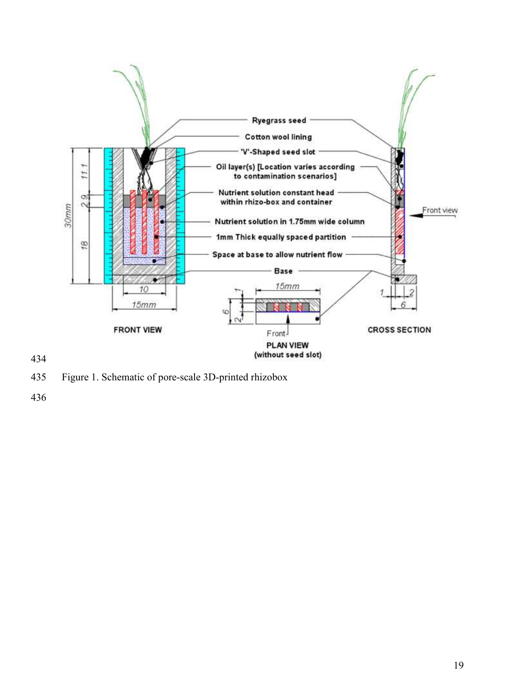

435 Figure 1. Schematic of pore-scale 3D-printed rhizobox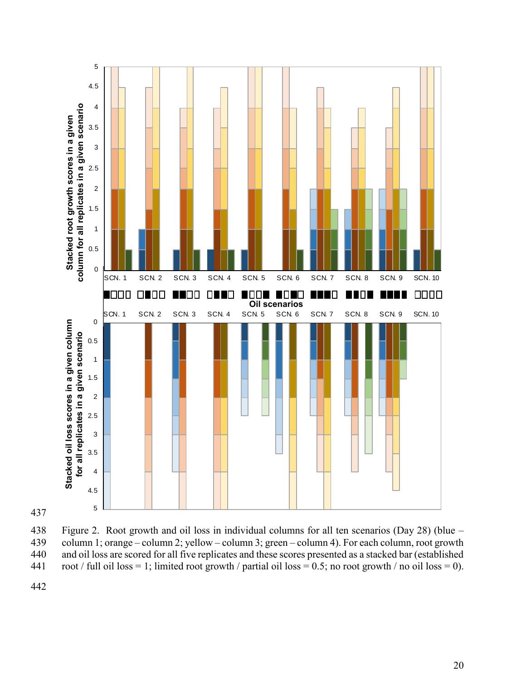



438 Figure 2. Root growth and oil loss in individual columns for all ten scenarios (Day 28) (blue – column 1; orange – column 2; yellow – column 3; green – column 4). For each column, root growth column 1; orange – column 2; yellow – column 3; green – column 4). For each column, root growth 440 and oil loss are scored for all five replicates and these scores presented as a stacked bar (established 441 root / full oil loss = 1; limited root growth / partial oil loss = 0.5; no root growth / no oil loss = 0).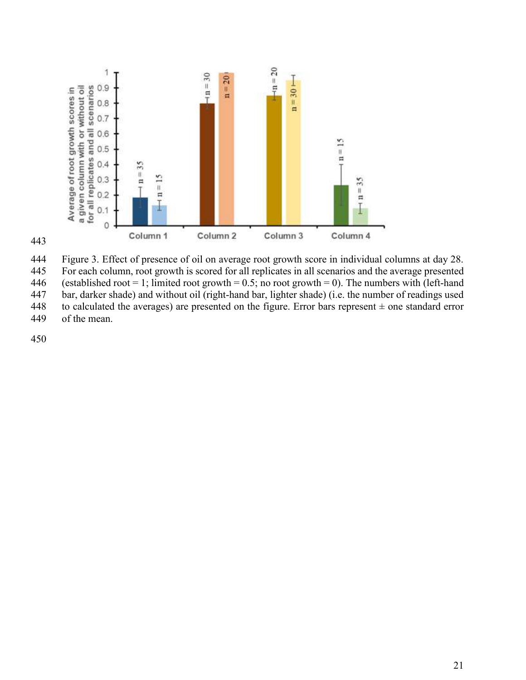

443

444 Figure 3. Effect of presence of oil on average root growth score in individual columns at day 28. 445 For each column, root growth is scored for all replicates in all scenarios and the average presented 446 (established root = 1; limited root growth = 0.5; no root growth = 0). The numbers with (left-hand bar, darker shade) and without oil (right-hand bar, lighter shade) (i.e. the number of readings used bar, darker shade) and without oil (right-hand bar, lighter shade) (i.e. the number of readings used 448 to calculated the averages) are presented on the figure. Error bars represent  $\pm$  one standard error

449 of the mean.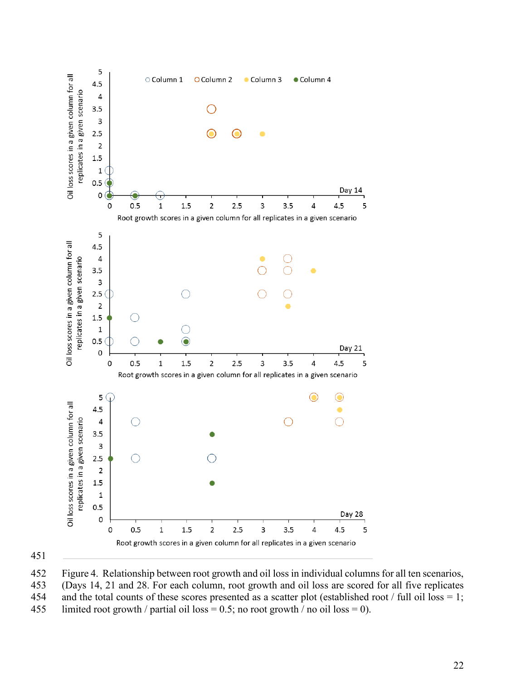

451

452 Figure 4. Relationship between root growth and oil loss in individual columns for all ten scenarios, 453 (Days 14, 21 and 28. For each column, root growth and oil loss are scored for all five replicates 454 and the total counts of these scores presented as a scatter plot (established root / full oil loss = 1; 455 limited root growth / partial oil loss = 0.5; no root growth / no oil loss = 0).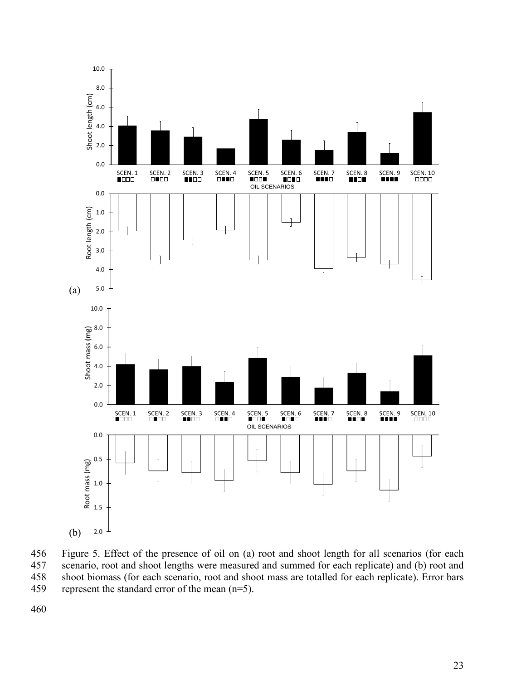

456 Figure 5. Effect of the presence of oil on (a) root and shoot length for all scenarios (for each 457 scenario, root and shoot lengths were measured and summed for each replicate) and (b) root and 458 shoot biomass (for each scenario, root and shoot mass are totalled for each replicate). Error bars represent the standard error of the mean  $(n=5)$ . represent the standard error of the mean  $(n=5)$ .